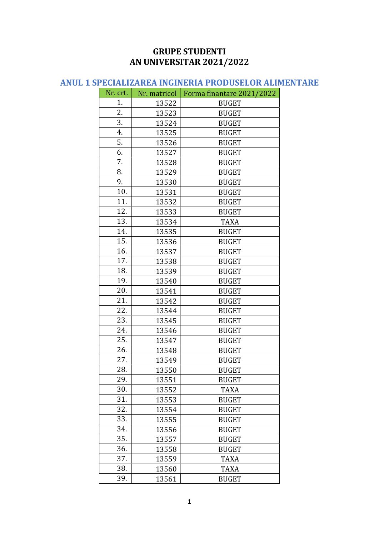#### GRUPE STUDENTI AN UNIVERSITAR 2021/2022

### ANUL 1 SPECIALIZAREA INGINERIA PRODUSELOR ALIMENTARE

| Nr. crt. | Nr. matricol | Forma finantare 2021/2022 |
|----------|--------------|---------------------------|
| 1.       | 13522        | <b>BUGET</b>              |
| 2.       | 13523        | <b>BUGET</b>              |
| 3.       | 13524        | <b>BUGET</b>              |
| 4.       | 13525        | <b>BUGET</b>              |
| 5.       | 13526        | <b>BUGET</b>              |
| 6.       | 13527        | <b>BUGET</b>              |
| 7.       | 13528        | <b>BUGET</b>              |
| 8.       | 13529        | <b>BUGET</b>              |
| 9.       | 13530        | <b>BUGET</b>              |
| 10.      | 13531        | <b>BUGET</b>              |
| 11.      | 13532        | <b>BUGET</b>              |
| 12.      | 13533        | <b>BUGET</b>              |
| 13.      | 13534        | <b>TAXA</b>               |
| 14.      | 13535        | <b>BUGET</b>              |
| 15.      | 13536        | <b>BUGET</b>              |
| 16.      | 13537        | <b>BUGET</b>              |
| 17.      | 13538        | <b>BUGET</b>              |
| 18.      | 13539        | <b>BUGET</b>              |
| 19.      | 13540        | <b>BUGET</b>              |
| 20.      | 13541        | <b>BUGET</b>              |
| 21.      | 13542        | <b>BUGET</b>              |
| 22.      | 13544        | <b>BUGET</b>              |
| 23.      | 13545        | <b>BUGET</b>              |
| 24.      | 13546        | <b>BUGET</b>              |
| 25.      | 13547        | <b>BUGET</b>              |
| 26.      | 13548        | <b>BUGET</b>              |
| 27.      | 13549        | <b>BUGET</b>              |
| 28.      | 13550        | <b>BUGET</b>              |
| 29.      | 13551        | <b>BUGET</b>              |
| 30.      | 13552        | <b>TAXA</b>               |
| 31.      | 13553        | <b>BUGET</b>              |
| 32.      | 13554        | <b>BUGET</b>              |
| 33.      | 13555        | <b>BUGET</b>              |
| 34.      | 13556        | <b>BUGET</b>              |
| 35.      | 13557        | <b>BUGET</b>              |
| 36.      | 13558        | <b>BUGET</b>              |
| 37.      | 13559        | <b>TAXA</b>               |
| 38.      | 13560        | <b>TAXA</b>               |
| 39.      | 13561        | <b>BUGET</b>              |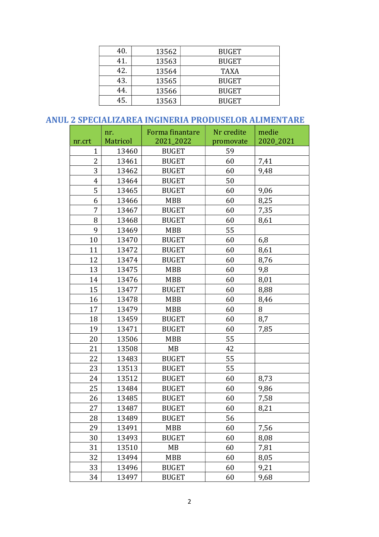| 40. | 13562 | <b>BUGET</b> |
|-----|-------|--------------|
| 41. | 13563 | <b>BUGET</b> |
| 42. | 13564 | <b>TAXA</b>  |
| 43. | 13565 | <b>BUGET</b> |
| 44. | 13566 | <b>BUGET</b> |
| 45. | 13563 | <b>BUGET</b> |

#### ANUL 2 SPECIALIZAREA INGINERIA PRODUSELOR ALIMENTARE

| nr.crt         | nr.<br><b>Matricol</b> | Forma finantare<br>2021_2022 | Nr credite<br>promovate | medie<br>2020_2021 |
|----------------|------------------------|------------------------------|-------------------------|--------------------|
| $\mathbf{1}$   | 13460                  | <b>BUGET</b>                 | 59                      |                    |
| $\overline{2}$ | 13461                  | <b>BUGET</b>                 | 60                      | 7,41               |
| 3              | 13462                  | <b>BUGET</b>                 | 60                      | 9,48               |
| $\overline{4}$ | 13464                  | <b>BUGET</b>                 | 50                      |                    |
| 5              | 13465                  | <b>BUGET</b>                 | 60                      | 9,06               |
| 6              | 13466                  | <b>MBB</b>                   | 60                      | 8,25               |
| 7              | 13467                  | <b>BUGET</b>                 | 60                      | 7,35               |
| 8              | 13468                  | <b>BUGET</b>                 | 60                      | 8,61               |
| 9              | 13469                  | <b>MBB</b>                   | 55                      |                    |
| 10             | 13470                  | <b>BUGET</b>                 | 60                      | 6,8                |
| 11             | 13472                  | <b>BUGET</b>                 | 60                      | 8,61               |
| 12             | 13474                  | <b>BUGET</b>                 | 60                      | 8,76               |
| 13             | 13475                  | MBB                          | 60                      | 9,8                |
| 14             | 13476                  | <b>MBB</b>                   | 60                      | 8,01               |
| 15             | 13477                  | <b>BUGET</b>                 | 60                      | 8,88               |
| 16             | 13478                  | <b>MBB</b>                   | 60                      | 8,46               |
| 17             | 13479                  | <b>MBB</b>                   | 60                      | 8                  |
| 18             | 13459                  | <b>BUGET</b>                 | 60                      | 8,7                |
| 19             | 13471                  | <b>BUGET</b>                 | 60                      | 7,85               |
| 20             | 13506                  | <b>MBB</b>                   | 55                      |                    |
| 21             | 13508                  | MB                           | 42                      |                    |
| 22             | 13483                  | <b>BUGET</b>                 | 55                      |                    |
| 23             | 13513                  | <b>BUGET</b>                 | 55                      |                    |
| 24             | 13512                  | <b>BUGET</b>                 | 60                      | 8,73               |
| 25             | 13484                  | <b>BUGET</b>                 | 60                      | 9,86               |
| 26             | 13485                  | <b>BUGET</b>                 | 60                      | 7,58               |
| 27             | 13487                  | <b>BUGET</b>                 | 60                      | 8,21               |
| 28             | 13489                  | <b>BUGET</b>                 | 56                      |                    |
| 29             | 13491                  | MBB                          | 60                      | 7,56               |
| 30             | 13493                  | <b>BUGET</b>                 | 60                      | 8,08               |
| 31             | 13510                  | MB                           | 60                      | 7,81               |
| 32             | 13494                  | MBB                          | 60                      | 8,05               |
| 33             | 13496                  | <b>BUGET</b>                 | 60                      | 9,21               |
| 34             | 13497                  | <b>BUGET</b>                 | 60                      | 9,68               |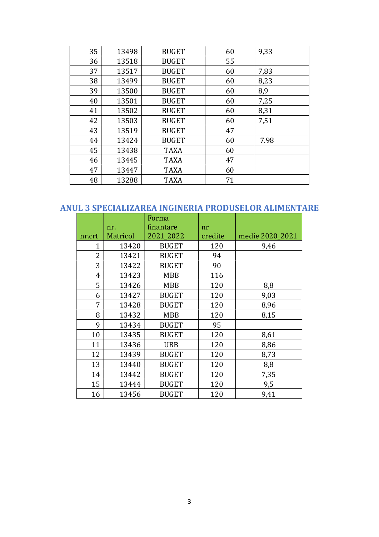| 35 | 13498 | <b>BUGET</b> | 60 | 9,33 |
|----|-------|--------------|----|------|
| 36 | 13518 | <b>BUGET</b> | 55 |      |
| 37 | 13517 | <b>BUGET</b> | 60 | 7,83 |
| 38 | 13499 | <b>BUGET</b> | 60 | 8,23 |
| 39 | 13500 | <b>BUGET</b> | 60 | 8,9  |
| 40 | 13501 | <b>BUGET</b> | 60 | 7,25 |
| 41 | 13502 | <b>BUGET</b> | 60 | 8,31 |
| 42 | 13503 | <b>BUGET</b> | 60 | 7,51 |
| 43 | 13519 | <b>BUGET</b> | 47 |      |
| 44 | 13424 | <b>BUGET</b> | 60 | 7.98 |
| 45 | 13438 | <b>TAXA</b>  | 60 |      |
| 46 | 13445 | <b>TAXA</b>  | 47 |      |
| 47 | 13447 | <b>TAXA</b>  | 60 |      |
| 48 | 13288 | <b>TAXA</b>  | 71 |      |

### ANUL 3 SPECIALIZAREA INGINERIA PRODUSELOR ALIMENTARE

|        |          | Forma        |         |                 |
|--------|----------|--------------|---------|-----------------|
|        | nr.      | finantare    | nr      |                 |
| nr.crt | Matricol | 2021_2022    | credite | medie 2020_2021 |
| 1      | 13420    | <b>BUGET</b> | 120     | 9,46            |
| 2      | 13421    | <b>BUGET</b> | 94      |                 |
| 3      | 13422    | <b>BUGET</b> | 90      |                 |
| 4      | 13423    | <b>MBB</b>   | 116     |                 |
| 5      | 13426    | <b>MBB</b>   | 120     | 8,8             |
| 6      | 13427    | <b>BUGET</b> | 120     | 9,03            |
| 7      | 13428    | <b>BUGET</b> | 120     | 8,96            |
| 8      | 13432    | <b>MBB</b>   | 120     | 8,15            |
| 9      | 13434    | <b>BUGET</b> | 95      |                 |
| 10     | 13435    | <b>BUGET</b> | 120     | 8,61            |
| 11     | 13436    | <b>UBB</b>   | 120     | 8,86            |
| 12     | 13439    | <b>BUGET</b> | 120     | 8,73            |
| 13     | 13440    | <b>BUGET</b> | 120     | 8,8             |
| 14     | 13442    | <b>BUGET</b> | 120     | 7,35            |
| 15     | 13444    | <b>BUGET</b> | 120     | 9,5             |
| 16     | 13456    | <b>BUGET</b> | 120     | 9,41            |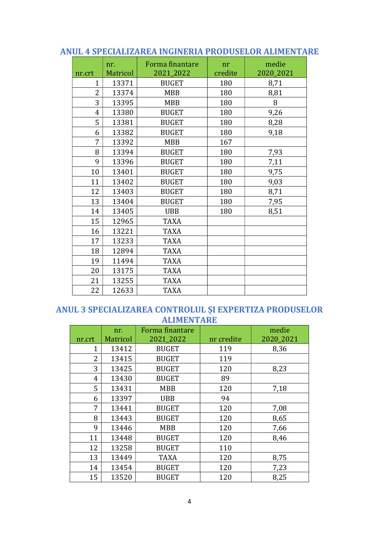|                | nr.      | Forma finantare | nr      | medie     |
|----------------|----------|-----------------|---------|-----------|
| nr.crt         | Matricol | 2021_2022       | credite | 2020_2021 |
| $\overline{1}$ | 13371    | <b>BUGET</b>    | 180     | 8,71      |
| $\overline{2}$ | 13374    | <b>MBB</b>      | 180     | 8,81      |
| 3              | 13395    | <b>MBB</b>      | 180     | 8         |
| $\overline{4}$ | 13380    | <b>BUGET</b>    | 180     | 9,26      |
| 5              | 13381    | <b>BUGET</b>    | 180     | 8,28      |
| 6              | 13382    | <b>BUGET</b>    | 180     | 9,18      |
| 7              | 13392    | <b>MBB</b>      | 167     |           |
| 8              | 13394    | <b>BUGET</b>    | 180     | 7,93      |
| 9              | 13396    | <b>BUGET</b>    | 180     | 7,11      |
| 10             | 13401    | <b>BUGET</b>    | 180     | 9,75      |
| 11             | 13402    | <b>BUGET</b>    | 180     | 9,03      |
| 12             | 13403    | <b>BUGET</b>    | 180     | 8,71      |
| 13             | 13404    | <b>BUGET</b>    | 180     | 7,95      |
| 14             | 13405    | <b>UBB</b>      | 180     | 8,51      |
| 15             | 12965    | <b>TAXA</b>     |         |           |
| 16             | 13221    | <b>TAXA</b>     |         |           |
| 17             | 13233    | <b>TAXA</b>     |         |           |
| 18             | 12894    | <b>TAXA</b>     |         |           |
| 19             | 11494    | <b>TAXA</b>     |         |           |
| 20             | 13175    | <b>TAXA</b>     |         |           |
| 21             | 13255    | <b>TAXA</b>     |         |           |
| 22             | 12633    | <b>TAXA</b>     |         |           |

#### ANUL 4 SPECIALIZAREA INGINERIA PRODUSELOR ALIMENTARE

#### ANUL 3 SPECIALIZAREA CONTROLUL ȘI EXPERTIZA PRODUSELOR ALIMENTARE

| nr.crt | nr.<br><b>Matricol</b> | Forma finantare<br>2021_2022 | nr credite | medie<br>2020_2021 |
|--------|------------------------|------------------------------|------------|--------------------|
| 1      | 13412                  | <b>BUGET</b>                 | 119        | 8,36               |
| 2      | 13415                  | <b>BUGET</b>                 | 119        |                    |
| 3      | 13425                  | <b>BUGET</b>                 | 120        | 8,23               |
| 4      | 13430                  | <b>BUGET</b>                 | 89         |                    |
| 5      | 13431                  | <b>MBB</b>                   | 120        | 7,18               |
| 6      | 13397                  | <b>UBB</b>                   | 94         |                    |
| 7      | 13441                  | <b>BUGET</b>                 | 120        | 7,08               |
| 8      | 13443                  | <b>BUGET</b>                 | 120        | 8,65               |
| 9      | 13446                  | <b>MBB</b>                   | 120        | 7,66               |
| 11     | 13448                  | <b>BUGET</b>                 | 120        | 8,46               |
| 12     | 13258                  | <b>BUGET</b>                 | 110        |                    |
| 13     | 13449                  | <b>TAXA</b>                  | 120        | 8,75               |
| 14     | 13454                  | <b>BUGET</b>                 | 120        | 7,23               |
| 15     | 13520                  | <b>BUGET</b>                 | 120        | 8,25               |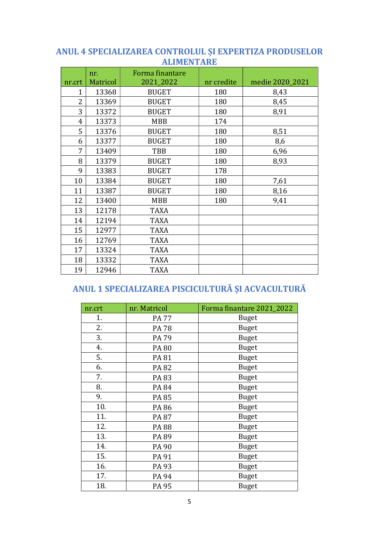#### ANUL 4 SPECIALIZAREA CONTROLUL ȘI EXPERTIZA PRODUSELOR **ALIMENTARE**

| nr.crt | nr.<br><b>Matricol</b> | Forma finantare<br>2021_2022 | nr credite | medie 2020_2021 |
|--------|------------------------|------------------------------|------------|-----------------|
| 1      | 13368                  | <b>BUGET</b>                 | 180        | 8,43            |
| 2      |                        |                              |            |                 |
|        | 13369                  | <b>BUGET</b>                 | 180        | 8,45            |
| 3      | 13372                  | <b>BUGET</b>                 | 180        | 8,91            |
| 4      | 13373                  | <b>MBB</b>                   | 174        |                 |
| 5      | 13376                  | <b>BUGET</b>                 | 180        | 8,51            |
| 6      | 13377                  | <b>BUGET</b>                 | 180        | 8,6             |
| 7      | 13409                  | TBB                          | 180        | 6,96            |
| 8      | 13379                  | <b>BUGET</b>                 | 180        | 8,93            |
| 9      | 13383                  | <b>BUGET</b>                 | 178        |                 |
| 10     | 13384                  | <b>BUGET</b>                 | 180        | 7,61            |
| 11     | 13387                  | <b>BUGET</b>                 | 180        | 8,16            |
| 12     | 13400                  | <b>MBB</b>                   | 180        | 9,41            |
| 13     | 12178                  | <b>TAXA</b>                  |            |                 |
| 14     | 12194                  | <b>TAXA</b>                  |            |                 |
| 15     | 12977                  | <b>TAXA</b>                  |            |                 |
| 16     | 12769                  | <b>TAXA</b>                  |            |                 |
| 17     | 13324                  | <b>TAXA</b>                  |            |                 |
| 18     | 13332                  | <b>TAXA</b>                  |            |                 |
| 19     | 12946                  | <b>TAXA</b>                  |            |                 |

# ANUL 1 SPECIALIZAREA PISCICULTURĂ ȘI ACVACULTURĂ

| nr.crt | nr. Matricol | Forma finantare 2021_2022 |
|--------|--------------|---------------------------|
| 1.     | <b>PA 77</b> | <b>Buget</b>              |
| 2.     | <b>PA78</b>  | <b>Buget</b>              |
| 3.     | <b>PA 79</b> | <b>Buget</b>              |
| 4.     | <b>PA 80</b> | <b>Buget</b>              |
| 5.     | PA 81        | <b>Buget</b>              |
| 6.     | <b>PA82</b>  | <b>Buget</b>              |
| 7.     | PA 83        | <b>Buget</b>              |
| 8.     | <b>PA 84</b> | <b>Buget</b>              |
| 9.     | PA 85        | <b>Buget</b>              |
| 10.    | PA 86        | <b>Buget</b>              |
| 11.    | PA 87        | <b>Buget</b>              |
| 12.    | <b>PA88</b>  | <b>Buget</b>              |
| 13.    | PA 89        | <b>Buget</b>              |
| 14.    | PA 90        | <b>Buget</b>              |
| 15.    | PA 91        | <b>Buget</b>              |
| 16.    | PA 93        | <b>Buget</b>              |
| 17.    | PA 94        | <b>Buget</b>              |
| 18.    | <b>PA 95</b> | <b>Buget</b>              |